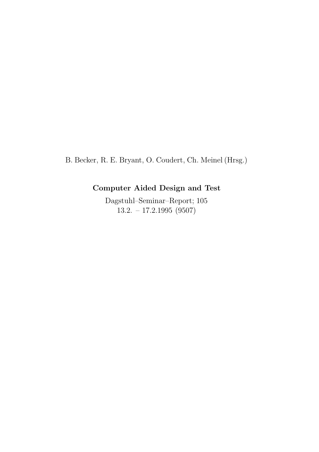B. Becker, R. E. Bryant, O. Coudert, Ch. Meinel (Hrsg.)

## Computer Aided Design and Test

Dagstuhl–Seminar–Report; 105 13.2. – 17.2.1995 (9507)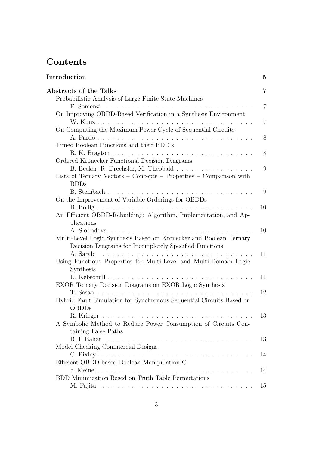# Contents

| Introduction                                                                                                                 | $\bf{5}$       |
|------------------------------------------------------------------------------------------------------------------------------|----------------|
| Abstracts of the Talks                                                                                                       | 7              |
| Probabilistic Analysis of Large Finite State Machines                                                                        |                |
|                                                                                                                              | $\overline{7}$ |
| On Improving OBDD-Based Verification in a Synthesis Environment                                                              |                |
|                                                                                                                              | 7              |
| On Computing the Maximum Power Cycle of Sequential Circuits                                                                  |                |
|                                                                                                                              | 8              |
| Timed Boolean Functions and their BDD's                                                                                      |                |
|                                                                                                                              | 8              |
| Ordered Kronecker Functional Decision Diagrams                                                                               |                |
| B. Becker, R. Drechsler, M. Theobald                                                                                         | 9              |
| Lists of Ternary Vectors – Concepts – Properties – Comparison with                                                           |                |
| <b>BDDs</b>                                                                                                                  |                |
|                                                                                                                              | 9              |
| On the Improvement of Variable Orderings for OBDDs                                                                           |                |
|                                                                                                                              | 10             |
| An Efficient OBDD-Rebuilding: Algorithm, Implementation, and Ap-                                                             |                |
| plications<br>A. Slobodovà                                                                                                   |                |
|                                                                                                                              | 10             |
| Multi-Level Logic Synthesis Based on Kronecker and Boolean Ternary<br>Decision Diagrams for Incompletely Specified Functions |                |
| A. Sarabi                                                                                                                    | 11             |
| Using Functions Properties for Multi-Level and Multi-Domain Logic                                                            |                |
| Synthesis                                                                                                                    |                |
| U. Kebschull                                                                                                                 | 11             |
| EXOR Ternary Decision Diagrams on EXOR Logic Synthesis                                                                       |                |
|                                                                                                                              | 12             |
| Hybrid Fault Simulation for Synchronous Sequential Circuits Based on                                                         |                |
| <b>OBDDs</b>                                                                                                                 |                |
|                                                                                                                              | 13             |
| A Symbolic Method to Reduce Power Consumption of Circuits Con-                                                               |                |
| taining False Paths                                                                                                          |                |
|                                                                                                                              | 13             |
| Model Checking Commercial Designs                                                                                            |                |
|                                                                                                                              | 14             |
| Efficient OBDD-based Boolean Manipulation C                                                                                  |                |
|                                                                                                                              | 14             |
| BDD Minimization Based on Truth Table Permutations                                                                           |                |
|                                                                                                                              | 15             |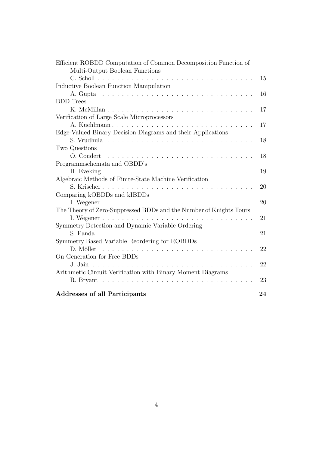| Efficient ROBDD Computation of Common Decomposition Function of                                                              |    |
|------------------------------------------------------------------------------------------------------------------------------|----|
| Multi-Output Boolean Functions                                                                                               |    |
|                                                                                                                              | 15 |
| Inductive Boolean Function Manipulation                                                                                      |    |
|                                                                                                                              | 16 |
| <b>BDD</b> Trees                                                                                                             |    |
|                                                                                                                              | 17 |
| Verification of Large Scale Microprocessors                                                                                  |    |
|                                                                                                                              | 17 |
| Edge-Valued Binary Decision Diagrams and their Applications                                                                  |    |
|                                                                                                                              | 18 |
| Two Questions                                                                                                                |    |
|                                                                                                                              | 18 |
| Programmschemata and OBDD's                                                                                                  |    |
|                                                                                                                              | 19 |
| Algebraic Methods of Finite-State Machine Verification                                                                       |    |
|                                                                                                                              | 20 |
| Comparing kOBDDs and kIBDDs                                                                                                  |    |
|                                                                                                                              | 20 |
| The Theory of Zero-Suppressed BDDs and the Number of Knights Tours                                                           |    |
|                                                                                                                              | 21 |
| Symmetry Detection and Dynamic Variable Ordering                                                                             |    |
|                                                                                                                              | 21 |
| Symmetry Based Variable Reordering for ROBDDs                                                                                |    |
| D. Möller<br>and a series of the contract of the contract of the contract of the contract of the contract of the contract of | 22 |
| On Generation for Free BDDs                                                                                                  |    |
|                                                                                                                              | 22 |
| Arithmetic Circuit Verification with Binary Moment Diagrams                                                                  |    |
|                                                                                                                              | 23 |
| <b>Addresses of all Participants</b>                                                                                         | 24 |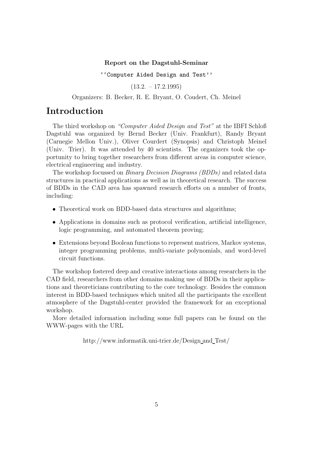#### Report on the Dagstuhl-Seminar

''Computer Aided Design and Test''

 $(13.2. - 17.2.1995)$ 

Organizers: B. Becker, R. E. Bryant, O. Coudert, Ch. Meinel

### Introduction

The third workshop on "Computer Aided Design and Test" at the IBFI Schloß Dagstuhl was organized by Bernd Becker (Univ. Frankfurt), Randy Bryant (Carnegie Mellon Univ.), Oliver Courdert (Synopsis) and Christoph Meinel (Univ. Trier). It was attended by 40 scientists. The organizers took the opportunity to bring together researchers from different areas in computer science, electrical engineering and industry.

The workshop focussed on Binary Decision Diagrams (BDDs) and related data structures in practical applications as well as in theoretical research. The success of BDDs in the CAD area has spawned research efforts on a number of fronts, including:

- Theoretical work on BDD-based data structures and algorithms;
- Applications in domains such as protocol verification, artificial intelligence, logic programming, and automated theorem proving;
- Extensions beyond Boolean functions to represent matrices, Markov systems, integer programming problems, multi-variate polynomials, and word-level circuit functions.

The workshop fostered deep and creative interactions among researchers in the CAD field, researchers from other domains making use of BDDs in their applications and theoreticians contributing to the core technology. Besides the common interest in BDD-based techniques which united all the participants the excellent atmosphere of the Dagstuhl-center provided the framework for an exceptional workshop.

More detailed information including some full papers can be found on the WWW-pages with the URL

http://www.informatik.uni-trier.de/Design and Test/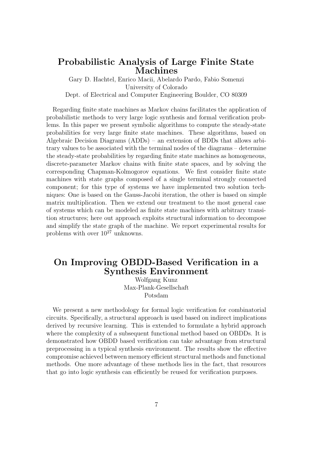### Probabilistic Analysis of Large Finite State Machines

Gary D. Hachtel, Enrico Macii, Abelardo Pardo, Fabio Somenzi University of Colorado Dept. of Electrical and Computer Engineering Boulder, CO 80309

Regarding finite state machines as Markov chains facilitates the application of probabilistic methods to very large logic synthesis and formal verification problems. In this paper we present symbolic algorithms to compute the steady-state probabilities for very large finite state machines. These algorithms, based on Algebraic Decision Diagrams (ADDs) – an extension of BDDs that allows arbitrary values to be associated with the terminal nodes of the diagrams – determine the steady-state probabilities by regarding finite state machines as homogeneous, discrete-parameter Markov chains with finite state spaces, and by solving the corresponding Chapman-Kolmogorov equations. We first consider finite state machines with state graphs composed of a single terminal strongly connected component; for this type of systems we have implemented two solution techniques: One is based on the Gauss-Jacobi iteration, the other is based on simple matrix multiplication. Then we extend our treatment to the most general case of systems which can be modeled as finite state machines with arbitrary transition structures; here out approach exploits structural information to decompose and simplify the state graph of the machine. We report experimental results for problems with over  $10^{27}$  unknowns.

### On Improving OBDD-Based Verification in a Synthesis Environment

Wolfgang Kunz Max-Plank-Gesellschaft Potsdam

We present a new methodology for formal logic verification for combinatorial circuits. Specifically, a structural approach is used based on indirect implications derived by recursive learning. This is extended to formulate a hybrid approach where the complexity of a subsequent functional method based on OBDDs. It is demonstrated how OBDD based verification can take advantage from structural preprocessing in a typical synthesis environment. The results show the effective compromise achieved between memory efficient structural methods and functional methods. One more advantage of these methods lies in the fact, that resources that go into logic synthesis can efficiently be reused for verification purposes.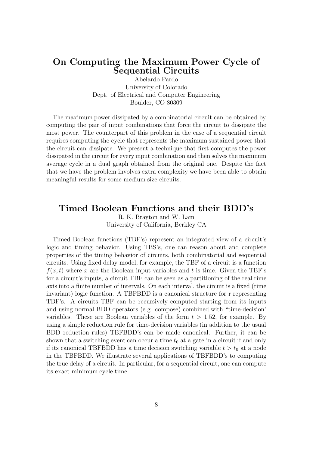### On Computing the Maximum Power Cycle of Sequential Circuits

Abelardo Pardo University of Colorado Dept. of Electrical and Computer Engineering Boulder, CO 80309

The maximum power dissipated by a combinatorial circuit can be obtained by computing the pair of input combinations that force the circuit to dissipate the most power. The counterpart of this problem in the case of a sequential circuit requires computing the cycle that represents the maximum sustained power that the circuit can dissipate. We present a technique that first computes the power dissipated in the circuit for every input combination and then solves the maximum average cycle in a dual graph obtained from the original one. Despite the fact that we have the problem involves extra complexity we have been able to obtain meaningful results for some medium size circuits.

#### Timed Boolean Functions and their BDD's

R. K. Brayton and W. Lam University of California, Berkley CA

Timed Boolean functions (TBF's) represent an integrated view of a circuit's logic and timing behavior. Using TBS's, one can reason about and complete properties of the timing behavior of circuits, both combinatorial and sequential circuits. Using fixed delay model, for example, the TBF of a circuit is a function  $f(x, t)$  where x are the Boolean input variables and t is time. Given the TBF's for a circuit's inputs, a circuit TBF can be seen as a partitioning of the real rime axis into a finite number of intervals. On each interval, the circuit is a fixed (time invariant) logic function. A TBFBDD is a canonical structure for r representing TBF's. A circuits TBF can be recursively computed starting from its inputs and using normal BDD operators (e.g. compose) combined with "time-decision' variables. These are Boolean variables of the form  $t > 1.52$ , for example. By using a simple reduction rule for time-decision variables (in addition to the usual BDD reduction rules) TBFBDD's can be made canonical. Further, it can be shown that a switching event can occur a time  $t_0$  at a gate in a circuit if and only if its canonical TBFBDD has a time decision switching variable  $t > t_0$  at a node in the TBFBDD. We illustrate several applications of TBFBDD's to computing the true delay of a circuit. In particular, for a sequential circuit, one can compute its exact minimum cycle time.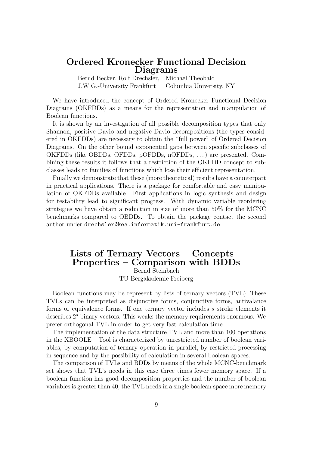### Ordered Kronecker Functional Decision Diagrams

Bernd Becker, Rolf Drechsler, Michael Theobald J.W.G.-University Frankfurt Columbia University, NY

We have introduced the concept of Ordered Kronecker Functional Decision Diagrams (OKFDDs) as a means for the representation and manipulation of Boolean functions.

It is shown by an investigation of all possible decomposition types that only Shannon, positive Davio and negative Davio decompositions (the types considered in OKFDDs) are necessary to obtain the "full power" of Ordered Decision Diagrams. On the other bound exponential gaps between specific subclasses of OKFDDs (like OBDDs, OFDDs, pOFDDs, nOFDDs, . . .) are presented. Combining these results it follows that a restriction of the OKFDD concept to subclasses leads to families of functions which lose their efficient representation.

Finally we demonstrate that these (more theoretical) results have a counterpart in practical applications. There is a package for comfortable and easy manipulation of OKFDDs available. First applications in logic synthesis and design for testability lead to significant progress. With dynamic variable reordering strategies we have obtain a reduction in size of more than 50% for the MCNC benchmarks compared to OBDDs. To obtain the package contact the second author under drechsler@kea.informatik.uni-frankfurt.de.

### Lists of Ternary Vectors – Concepts – Properties – Comparison with BDDs Bernd Steinbach

TU Bergakademie Freiberg

Boolean functions may be represent by lists of ternary vectors (TVL). These TVLs can be interpreted as disjunctive forms, conjunctive forms, antivalance forms or equivalence forms. If one ternary vector includes s stroke elements it describes  $2<sup>s</sup>$  binary vectors. This weaks the memory requirements enormous. We prefer orthogonal TVL in order to get very fast calculation time.

The implementation of the data structure TVL and more than 100 operations in the XBOOLE – Tool is characterized by unrestricted number of boolean variables, by computation of ternary operation in parallel, by restricted processing in sequence and by the possibility of calculation in several boolean spaces.

The comparison of TVLs and BDDs by means of the whole MCNC-benchmark set shows that TVL's needs in this case three times fewer memory space. If a boolean function has good decomposition properties and the number of boolean variables is greater than 40, the TVL needs in a single boolean space more memory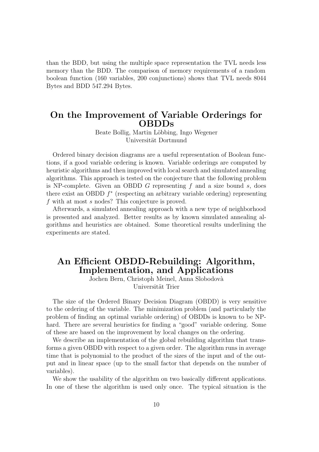than the BDD, but using the multiple space representation the TVL needs less memory than the BDD. The comparison of memory requirements of a random boolean function (160 variables, 200 conjunctions) shows that TVL needs 8044 Bytes and BDD 547.294 Bytes.

### On the Improvement of Variable Orderings for OBDDs

Beate Bollig, Martin Löbbing, Ingo Wegener Universität Dortmund

Ordered binary decision diagrams are a useful representation of Boolean functions, if a good variable ordering is known. Variable orderings are computed by heuristic algorithms and then improved with local search and simulated annealing algorithms. This approach is tested on the conjecture that the following problem is NP-complete. Given an OBDD G representing  $f$  and a size bound  $s$ , does there exist an OBDD  $f^*$  (respecting an arbitrary variable ordering) representing f with at most s nodes? This conjecture is proved.

Afterwards, a simulated annealing approach with a new type of neighborhood is presented and analyzed. Better results as by known simulated annealing algorithms and heuristics are obtained. Some theoretical results underlining the experiments are stated.

### An Efficient OBDD-Rebuilding: Algorithm, Implementation, and Applications

Jochen Bern, Christoph Meinel, Anna Slobodovà Universität Trier

The size of the Ordered Binary Decision Diagram (OBDD) is very sensitive to the ordering of the variable. The minimization problem (and particularly the problem of finding an optimal variable ordering) of OBDDs is known to be NPhard. There are several heuristics for finding a "good" variable ordering. Some of these are based on the improvement by local changes on the ordering.

We describe an implementation of the global rebuilding algorithm that transforms a given OBDD with respect to a given order. The algorithm runs in average time that is polynomial to the product of the sizes of the input and of the output and in linear space (up to the small factor that depends on the number of variables).

We show the usability of the algorithm on two basically different applications. In one of these the algorithm is used only once. The typical situation is the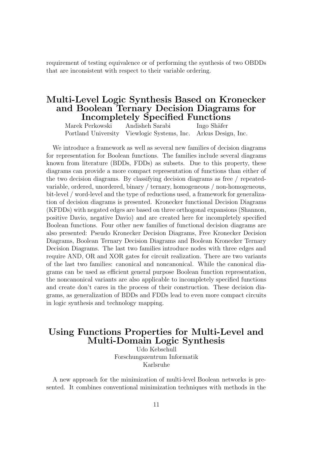requirement of testing equivalence or of performing the synthesis of two OBDDs that are inconsistent with respect to their variable ordering.

### Multi-Level Logic Synthesis Based on Kronecker and Boolean Ternary Decision Diagrams for Incompletely Specified Functions

Marek Perkowski Andisheh Sarabi Ingo Shäfer Portland University Viewlogic Systems, Inc. Arkus Design, Inc.

We introduce a framework as well as several new families of decision diagrams for representation for Boolean functions. The families include several diagrams known from literature (BDDs, FDDs) as subsets. Due to this property, these diagrams can provide a more compact representation of functions than either of the two decision diagrams. By classifying decision diagrams as free / repeatedvariable, ordered, unordered, binary / ternary, homogeneous / non-homogeneous, bit-level / word-level and the type of reductions used, a framework for generalization of decision diagrams is presented. Kronecker functional Decision Diagrams (KFDDs) with negated edges are based on three orthogonal expansions (Shannon, positive Davio, negative Davio) and are created here for incompletely specified Boolean functions. Four other new families of functional decision diagrams are also presented: Pseudo Kronecker Decision Diagrams, Free Kronecker Decision Diagrams, Boolean Ternary Decision Diagrams and Boolean Kronecker Ternary Decision Diagrams. The last two families introduce nodes with three edges and require AND, OR and XOR gates for circuit realization. There are two variants of the last two families: canonical and noncanonical. While the canonical diagrams can be used as efficient general purpose Boolean function representation, the noncanonical variants are also applicable to incompletely specified functions and create don't cares in the process of their construction. These decision diagrams, as generalization of BDDs and FDDs lead to even more compact circuits in logic synthesis and technology mapping.

### Using Functions Properties for Multi-Level and Multi-Domain Logic Synthesis

Udo Kebschull Forschungszentrum Informatik Karlsruhe

A new approach for the minimization of multi-level Boolean networks is presented. It combines conventional minimization techniques with methods in the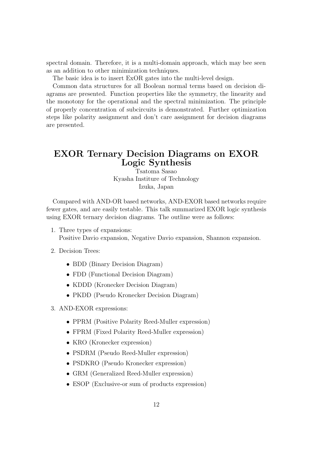spectral domain. Therefore, it is a multi-domain approach, which may bee seen as an addition to other minimization techniques.

The basic idea is to insert ExOR gates into the multi-level design.

Common data structures for all Boolean normal terms based on decision diagrams are presented. Function properties like the symmetry, the linearity and the monotony for the operational and the spectral minimization. The principle of properly concentration of subcircuits is demonstrated. Further optimization steps like polarity assignment and don't care assignment for decision diagrams are presented.

### EXOR Ternary Decision Diagrams on EXOR Logic Synthesis

Tsatoma Sasao Kyasha Institure of Technology Izuka, Japan

Compared with AND-OR based networks, AND-EXOR based networks require fewer gates, and are easily testable. This talk summarized EXOR logic synthesis using EXOR ternary decision diagrams. The outline were as follows:

- 1. Three types of expansions: Positive Davio expansion, Negative Davio expansion, Shannon expansion.
- 2. Decision Trees:
	- BDD (Binary Decision Diagram)
	- FDD (Functional Decision Diagram)
	- KDDD (Kronecker Decision Diagram)
	- PKDD (Pseudo Kronecker Decision Diagram)
- 3. AND-EXOR expressions:
	- PPRM (Positive Polarity Reed-Muller expression)
	- FPRM (Fixed Polarity Reed-Muller expression)
	- KRO (Kronecker expression)
	- PSDRM (Pseudo Reed-Muller expression)
	- PSDKRO (Pseudo Kronecker expression)
	- GRM (Generalized Reed-Muller expression)
	- ESOP (Exclusive-or sum of products expression)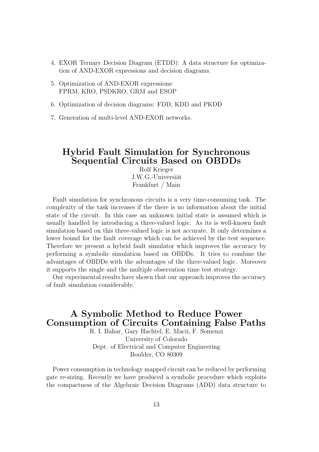- 4. EXOR Ternary Decision Diagram (ETDD): A data structure for optimization of AND-EXOR expressions and decision diagrams.
- 5. Optimization of AND-EXOR expressions: FPRM, KRO, PSDKRO, GRM and ESOP
- 6. Optimization of decision diagrams: FDD, KDD and PKDD
- 7. Generation of multi-level AND-EXOR networks.

### Hybrid Fault Simulation for Synchronous Sequential Circuits Based on OBDDs

Rolf Krieger J.W.G.-Universiät Frankfurt / Main

Fault simulation for synchronous circuits is a very time-consuming task. The complexity of the task increases if the there is no information about the initial state of the circuit. In this case an unknown initial state is assumed which is usually handled by introducing a three-valued logic. As its is well-known fault simulation based on this three-valued logic is not accurate. It only determines a lower bound for the fault coverage which can be achieved by the test sequence. Therefore we present a hybrid fault simulator which improves the accuracy by performing a symbolic simulation based on OBDDs. It tries to combine the advantages of OBDDs with the advantages of the three-valued logic. Moreover it supports the single and the multiple observation time test strategy.

Our experimental results have shown that our approach improves the accuracy of fault simulation considerably.

### A Symbolic Method to Reduce Power Consumption of Circuits Containing False Paths

R. I. Bahar, Gary Hachtel, E. Macii, F. Somenzi University of Colorado Dept. of Electrical and Computer Engineering Boulder, CO 80309

Power consumption in technology mapped circuit can be reduced by performing gate re-sizing. Recently we have produced a symbolic procedure which exploits the compactness of the Algebraic Decision Diagrams (ADD) data structure to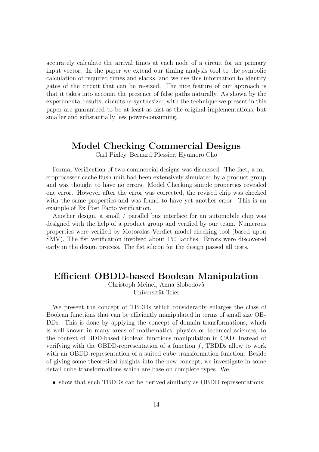accurately calculate the arrival times at each node of a circuit for an primary input vector. In the paper we extend our timing analysis tool to the symbolic calculation of required times and slacks, and we use this information to identify gates of the circuit that can be re-sized. The nice feature of our approach is that it takes into account the presence of false paths naturally. As shown by the experimental results, circuits re-synthesized with the technique we present in this paper are guaranteed to be at least as fast as the original implementations, but smaller and substantially less power-consuming.

### Model Checking Commercial Designs

Carl Pixley, Bernard Plessier, Hyumoro Cho

Formal Verification of two commercial designs was discussed. The fact, a microprocessor cache flush unit had been extensively simulated by a product group and was thought to have no errors. Model Checking simple properties revealed one error. However after the error was corrected, the revised chip was checked with the same properties and was found to have yet another error. This is an example of Ex Post Facto verification.

Another design, a small / parallel bus interface for an automobile chip was designed with the help of a product group and verified by our team. Numerous properties were verified by Motorolas Verdict model checking tool (based upon SMV). The fist verification involved about 150 latches. Errors were discovered early in the design process. The fist silicon for the design passed all tests.

### Efficient OBDD-based Boolean Manipulation

Christoph Meinel, Anna Slobodovà Universität Trier

We present the concept of TBDDs which considerably enlarges the class of Boolean functions that can be efficiently manipulated in terms of small size OB-DDs. This is done by applying the concept of domain transformations, which is well-known in many areas of mathematics, physics or technical sciences, to the context of BDD-based Boolean functions manipulation in CAD: Instead of verifying with the OBDD-representation of a function  $f$ , TBDDs allow to work with an OBDD-representation of a suited cube transformation function. Beside of giving some theoretical insights into the new concept, we investigate in some detail cube transformations which are base on complete types. We

• show that such TBDDs can be derived similarly as OBDD representations;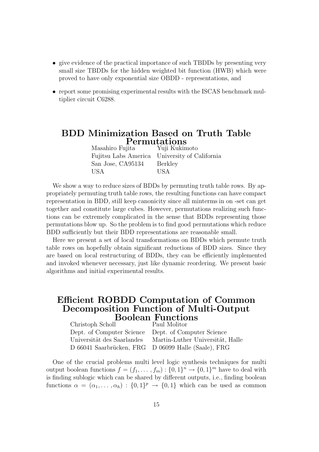- give evidence of the practical importance of such TBDDs by presenting very small size TBDDs for the hidden weighted bit function (HWB) which were proved to have only exponential size OBDD - representations, and
- report some promising experimental results with the ISCAS benchmark multiplier circuit C6288.

### BDD Minimization Based on Truth Table  $\small \mathbf{Permutations} \ \small \substack{\text{Yuji Kukimoto}}$ Masahiro Fujita

|                   | Fujitsu Labs America University of California |
|-------------------|-----------------------------------------------|
| San Jose, CA95134 | Berkley                                       |
| USA               | USA                                           |

We show a way to reduce sizes of BDDs by permuting truth table rows. By appropriately permuting truth table rows, the resulting functions can have compact representation in BDD, still keep canonicity since all minterms in on -set can get together and constitute large cubes. However, permutations realizing such functions can be extremely complicated in the sense that BDDs representing those permutations blow up. So the problem is to find good permutations which reduce BDD sufficiently but their BDD representations are reasonable small.

Here we present a set of local transformations on BDDs which permute truth table rows on hopefully obtain significant reductions of BDD sizes. Since they are based on local restructuring of BDDs, they can be efficiently implemented and invoked whenever necessary, just like dynamic reordering. We present basic algorithms and initial experimental results.

### Efficient ROBDD Computation of Common Decomposition Function of Multi-Output Boolean Functions

| Christoph Scholl           | Paul Molitor                                        |
|----------------------------|-----------------------------------------------------|
|                            | Dept. of Computer Science Dept. of Computer Science |
| Universität des Saarlandes | Martin-Luther Universität, Halle                    |
|                            | D 66041 Saarbrücken, FRG D 06099 Halle (Saale), FRG |

One of the crucial problems multi level logic synthesis techniques for multi output boolean functions  $f = (f_1, \ldots, f_m) : \{0,1\}^m \to \{0,1\}^m$  have to deal with is finding sublogic which can be shared by different outputs, i.e., finding boolean functions  $\alpha = (\alpha_1, \dots, \alpha_h) : \{0,1\}^p \to \{0,1\}$  which can be used as common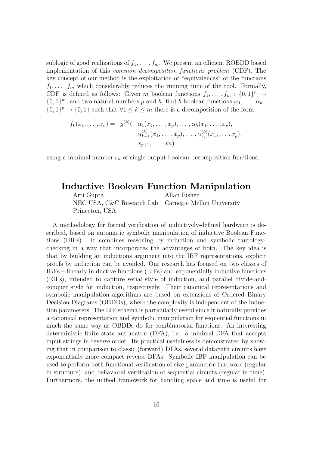sublogic of good realizations of  $f_1, \ldots, f_m$ . We present an efficient ROBDD based implementation of this common decomposition functions problem (CDF). The key concept of our method is the exploitation of "equivalences" of the functions  $f_1, \ldots, f_m$  which considerably reduces the running time of the tool. Formally, CDF is defined as follows: Given m boolean functions  $f_1, \ldots, f_m : \{0,1\}^n \to$  $\{0,1\}^m$ , and two natural numbers p and h, find h boolean functions  $\alpha_1, \ldots, \alpha_h$ :  $\{0,1\}^p \to \{0,1\}$  such that  $\forall 1 \leq k \leq m$  there is a decomposition of the form

$$
f_k(x_1, ..., x_n) = g^{(k)}( \alpha_1(x_1, ..., x_p), ..., \alpha_h(x_1, ..., x_p),
$$
  
\n
$$
\alpha_{k+1}^{(k)}(x_1, ..., x_p), ..., \alpha_{r_k}^{(k)}(x_1, ..., x_p),
$$
  
\n
$$
x_{p+1}, ..., x_n)
$$

using a minimal number  $r_k$  of single-output boolean decomposition functions.

### Inductive Boolean Function Manipulation

Arti Gupta Allan Fisher NEC USA, C&C Research Lab Carnegie Mellon University Princeton, USA

A methodology for formal verification of inductively-defined hardware is described, based on automatic symbolic manipulation of inductive Boolean Functions (IBFs). It combines reasoning by induction and symbolic tautologychecking in a way that incorporates the advantages of both. The key idea is that by building an inductions argument into the IBF representations, explicit proofs by induction can be avoided. Our research has focused on two classes of IBFs – linearly in ductive functions (LIFs) and exponentially inductive functions (EIFs), intended to capture serial style of induction, and parallel divide-andconquer style for induction, respectively. Their canonical representations and symbolic manipulation algorithms are based on extensions of Ordered Binary Decision Diagrams (OBDDs), where the complexity is independent of the induction parameters. The LIF schema is particularly useful since it naturally provides a canonical representation and symbolic manipulation for sequential functions in much the same way as OBDDs do for combinatorial functions. An interesting deterministic finite state automaton (DFA), i.e. a minimal DFA that accepts input strings in reverse order. Its practical usefulness is demonstrated by showing that in comparison to classic (forward) DFAs, several datapath circuits have exponentially more compact reverse DFAs. Symbolic IBF manipulation can be used to perform both functional verification of size-parametric hardware (regular in structure), and behavioral verification of sequential circuits (regular in time). Furthermore, the unified framework for handling space and time is useful for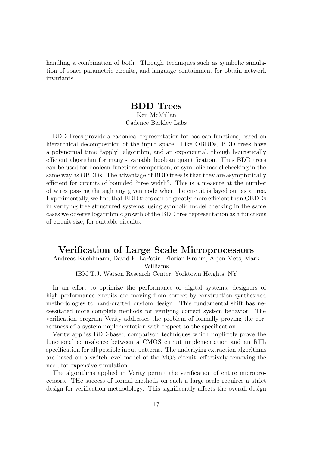handling a combination of both. Through techniques such as symbolic simulation of space-parametric circuits, and language containment for obtain network invariants.

#### BDD Trees Ken McMillan Cadence Berkley Labs

BDD Trees provide a canonical representation for boolean functions, based on hierarchical decomposition of the input space. Like OBDDs, BDD trees have a polynomial time "apply" algorithm, and an exponential, though heuristically efficient algorithm for many - variable boolean quantification. Thus BDD trees can be used for boolean functions comparison, or symbolic model checking in the same way as OBDDs. The advantage of BDD trees is that they are asymptotically efficient for circuits of bounded "tree width". This is a measure at the number of wires passing through any given node when the circuit is layed out as a tree. Experimentally, we find that BDD trees can be greatly more efficient than OBDDs in verifying tree structured systems, using symbolic model checking in the same cases we observe logarithmic growth of the BDD tree representation as a functions of circuit size, for suitable circuits.

### Verification of Large Scale Microprocessors

#### Andreas Kuehlmann, David P. LaPotin, Florian Krohm, Arjon Mets, Mark Williams

IBM T.J. Watson Research Center, Yorktown Heights, NY

In an effort to optimize the performance of digital systems, designers of high performance circuits are moving from correct-by-construction synthesized methodologies to hand-crafted custom design. This fundamental shift has necessitated more complete methods for verifying correct system behavior. The verification program Verity addresses the problem of formally proving the correctness of a system implementation with respect to the specification.

Verity applies BDD-based comparison techniques which implicitly prove the functional equivalence between a CMOS circuit implementation and an RTL specification for all possible input patterns. The underlying extraction algorithms are based on a switch-level model of the MOS circuit, effectively removing the need for expensive simulation.

The algorithms applied in Verity permit the verification of entire microprocessors. THe success of formal methods on such a large scale requires a strict design-for-verification methodology. This significantly affects the overall design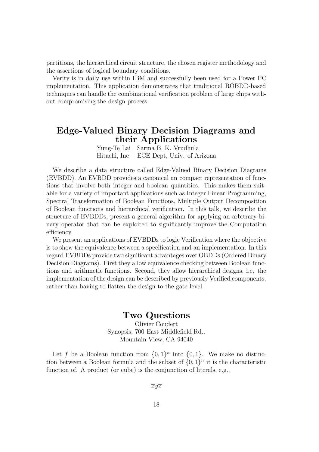partitions, the hierarchical circuit structure, the chosen register methodology and the assertions of logical boundary conditions.

Verity is in daily use within IBM and successfully been used for a Power PC implementation. This application demonstrates that traditional ROBDD-based techniques can handle the combinational verification problem of large chips without compromising the design process.

### Edge-Valued Binary Decision Diagrams and their Applications

Yung-Te Lai Sarma B. K. Vrudhula Hitachi, Inc ECE Dept, Univ. of Arizona

We describe a data structure called Edge-Valued Binary Decision Diagrams (EVBDD). An EVBDD provides a canonical an compact representation of functions that involve both integer and boolean quantities. This makes them suitable for a variety of important applications such as Integer Linear Programming, Spectral Transformation of Boolean Functions, Multiple Output Decomposition of Boolean functions and hierarchical verification. In this talk, we describe the structure of EVBDDs, present a general algorithm for applying an arbitrary binary operator that can be exploited to significantly improve the Computation efficiency.

We present an applications of EVBDDs to logic Verification where the objective is to show the equivalence between a specification and an implementation. In this regard EVBDDs provide two significant advantages over OBDDs (Ordered Binary Decision Diagrams). First they allow equivalence checking between Boolean functions and arithmetic functions. Second, they allow hierarchical designs, i.e. the implementation of the design can be described by previously Verified components, rather than having to flatten the design to the gate level.

#### Two Questions

Olivier Coudert Synopsis, 700 East Middlefield Rd.. Mountain View, CA 94040

Let f be a Boolean function from  $\{0,1\}^n$  into  $\{0,1\}$ . We make no distinction between a Boolean formula and the subset of  $\{0,1\}^n$  it is the characteristic function of. A product (or cube) is the conjunction of literals, e.g.,

 $\overline{xyz}$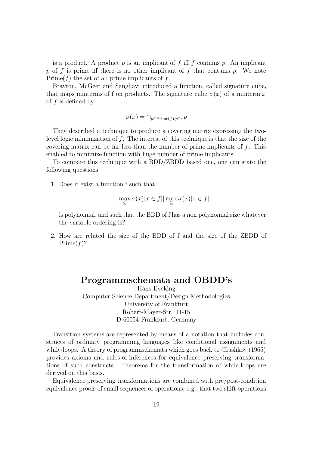is a product. A product p is an implicant of f iff f contains p. An implicant p of f is prime iff there is no other implicant of f that contains p. We note  $Prime(f)$  the set of all prime implicants of f.

Brayton, McGeer and Sanghavi introduced a function, called signature cube, that maps minterms of f on products. The signature cube  $\sigma(x)$  of a minterm x of  $f$  is defined by:

 $\sigma(x) = \bigcap_{p \in \text{Prime}(f), p \ni x} p$ 

They described a technique to produce a covering matrix expressing the twolevel logic minimization of f. The interest of this technique is that the size of the covering matrix can be far less than the number of prime implicants of  $f$ . This enabled to minimize function with huge number of prime implicants.

To compare this technique with a BDD/ZBDD based one, one can state the following questions:

1. Does it exist a function f such that

$$
|\max_{\subseteq} \sigma(x)|x \in f||\max_{\subseteq} \sigma(x)|x \in f|
$$

is polynomial, and such that the BDD of f has a non polynomial size whatever the variable ordering is?

2. How are related the size of the BDD of f and the size of the ZBDD of  $Prime(f)?$ 

#### Programmschemata and OBDD's

Hans Eveking Computer Science Department/Design Methodologies University of Frankfurt Robert-Mayer-Str. 11-15 D-60054 Frankfurt, Germany

Transition systems are represented by means of a notation that includes constructs of ordinary programming languages like conditional assignments and while-loops. A theory of programmschemata which goes back to Glushkov (1965) provides axioms and rules-of-inferences for equivalence preserving transformations of such constructs. Theorems for the transformation of while-loops are derived on this basis.

Equivalence preserving transformations are combined with pre/post-condition equivalence proofs of small sequences of operations, e.g., that two shift operations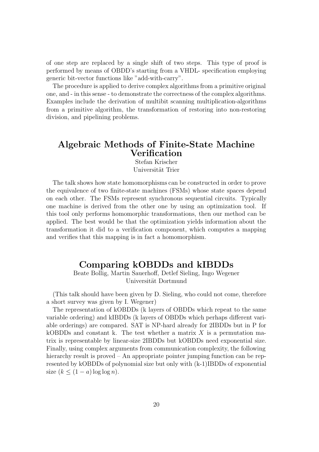of one step are replaced by a single shift of two steps. This type of proof is performed by means of OBDD's starting from a VHDL- specification employing generic bit-vector functions like "add-with-carry".

The procedure is applied to derive complex algorithms from a primitive original one, and - in this sense - to demonstrate the correctness of the complex algorithms. Examples include the derivation of multibit scanning multiplication-algorithms from a primitive algorithm, the transformation of restoring into non-restoring division, and pipelining problems.

### Algebraic Methods of Finite-State Machine Verification

Stefan Krischer Universität Trier

The talk shows how state homomorphisms can be constructed in order to prove the equivalence of two finite-state machines (FSMs) whose state spaces depend on each other. The FSMs represent synchronous sequential circuits. Typically one machine is derived from the other one by using an optimization tool. If this tool only performs homomorphic transformations, then our method can be applied. The best would be that the optimization yields information about the transformation it did to a verification component, which computes a mapping and verifies that this mapping is in fact a homomorphism.

#### Comparing kOBDDs and kIBDDs

Beate Bollig, Martin Sauerhoff, Detlef Sieling, Ingo Wegener Universität Dortmund

(This talk should have been given by D. Sieling, who could not come, therefore a short survey was given by I. Wegener)

The representation of kOBDDs (k layers of OBDDs which repeat to the same variable ordering) and kIBDDs (k layers of OBDDs which perhaps different variable orderings) are compared. SAT is NP-hard already for 2IBDDs but in P for kOBDDs and constant k. The test whether a matrix  $X$  is a permutation matrix is representable by linear-size 2IBDDs but kOBDDs need exponential size. Finally, using complex arguments from communication complexity, the following hierarchy result is proved – An appropriate pointer jumping function can be represented by kOBDDs of polynomial size but only with (k-1)IBDDs of exponential size  $(k \leq (1 - a) \log \log n)$ .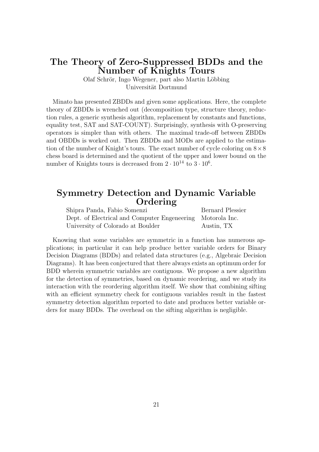### The Theory of Zero-Suppressed BDDs and the Number of Knights Tours

Olaf Schrör, Ingo Wegener, part also Martin Löbbing Universität Dortmund

Minato has presented ZBDDs and given some applications. Here, the complete theory of ZBDDs is wrenched out (decomposition type, structure theory, reduction rules, a generic synthesis algorithm, replacement by constants and functions, equality test, SAT and SAT-COUNT). Surprisingly, synthesis with O-preserving operators is simpler than with others. The maximal trade-off between ZBDDs and OBDDs is worked out. Then ZBDDs and MODs are applied to the estimation of the number of Knight's tours. The exact number of cycle coloring on  $8 \times 8$ chess board is determined and the quotient of the upper and lower bound on the number of Knights tours is decreased from  $2 \cdot 10^{14}$  to  $3 \cdot 10^6$ .

#### Symmetry Detection and Dynamic Variable Ordering

Shipra Panda, Fabio Somenzi Bernard Plessier Dept. of Electrical and Computer Engeneering Motorola Inc. University of Colorado at Boulder Austin, TX

Knowing that some variables are symmetric in a function has numerous applications; in particular it can help produce better variable orders for Binary Decision Diagrams (BDDs) and related data structures (e.g., Algebraic Decision Diagrams). It has been conjectured that there always exists an optimum order for BDD wherein symmetric variables are contiguous. We propose a new algorithm for the detection of symmetries, based on dynamic reordering, and we study its interaction with the reordering algorithm itself. We show that combining sifting with an efficient symmetry check for contiguous variables result in the fastest symmetry detection algorithm reported to date and produces better variable orders for many BDDs. The overhead on the sifting algorithm is negligible.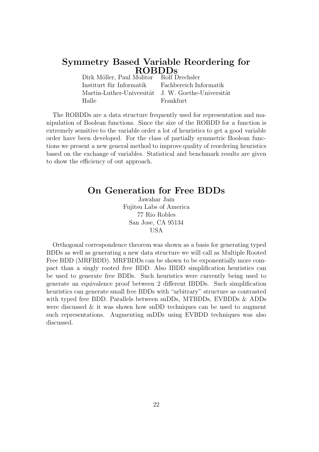# Symmetry Based Variable Reordering for  $\operatorname{ROBDDs}_{\text{Molitor}}$  Rolf Drechsler

Dirk Möller, Paul Molitor Institurt für Informatik Fachbereich Informatik Martin-Luther-Universität J. W. Goethe-Universität Halle Frankfurt

The ROBDDs are a data structure frequently used for representation and manipulation of Boolean functions. Since the size of the ROBDD for a function is extremely sensitive to the variable order a lot of heuristics to get a good variable order have been developed. For the class of partially symmetric Boolean functions we present a new general method to improve quality of reordering heuristics based on the exchange of variables. Statistical and benchmark results are given to show the efficiency of out approach.

#### On Generation for Free BDDs

Jawahar Jain Fujitsu Labs of America 77 Rio Robles San Jose, CA 95134 USA

Orthogonal correspondence theorem was shown as a basis for generating typed BDDs as well as generating a new data structure we will call as Multiple Rooted Free BDD (MRFBDD). MRFBDDs can be shown to be exponentially more compact than a singly rooted free BDD. Also IBDD simplification heuristics can be used to generate free BDDs. Such heuristics were currently being used to generate an equivalence proof between 2 different IBDDs. Such simplification heuristics can generate small free BDDs with "arbitrary" structure as contrasted with typed free BDD. Parallels between snDDs, MTBDDs, EVBDDs & ADDs were discussed  $\&$  it was shown how snDD techniques can be used to augment such representations. Augmenting snDDs using EVBDD techniques was also discussed.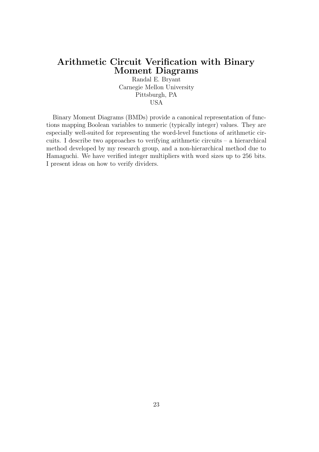### Arithmetic Circuit Verification with Binary Moment Diagrams

Randal E. Bryant Carnegie Mellon University Pittsburgh, PA USA

Binary Moment Diagrams (BMDs) provide a canonical representation of functions mapping Boolean variables to numeric (typically integer) values. They are especially well-suited for representing the word-level functions of arithmetic circuits. I describe two approaches to verifying arithmetic circuits – a hierarchical method developed by my research group, and a non-hierarchical method due to Hamaguchi. We have verified integer multipliers with word sizes up to 256 bits. I present ideas on how to verify dividers.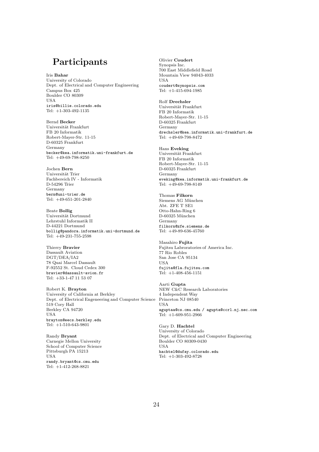### Participants

Iris Bahar University of Colorado Dept. of Electrical and Computer Engineering Campus Box 425 Boulder CO 80309 USA iris@billie.colorado.edu Tel: +1-303-492-1135

Bernd Becker Universität Frankfurt FB 20 Informatik Robert-Mayer-Str. 11-15 D-60325 Frankfurt Germany becker@kea.informatik.uni-frankfurt.de Tel: +49-69-798-8250

Jochen Bern Universität Trier Fachbereich IV - Informatik D-54296 Trier Germany bern@uni-trier.de Tel: +49-651-201-2840

Beate Bollig Universität Dortmund Lehrstuhl Informatik II D-44221 Dortmund bollig@pandora.informatik.uni-dortmund.de Tel: +49-231-755-2598

Thierry Bravier Dassault Aviation DGT/DEA/IA2 78 Quai Marcel Dassault F-92552 St. Cloud Cedex 300 bravier@dassault-avion.fr Tel: +33-1-47 11 53 07

Robert K. Brayton University of California at Berkley Dept. of Electrical Engeneering and Computer Science 519 Cory Hall Berkley CA 94720 USA brayton@eecs.berkley.edu Tel: +1-510-643-9801

Randy Bryant Carnegie Mellon University School of Computer Science Pittsburgh PA 15213 USA randy.bryant@cs.cmu.edu Tel: +1-412-268-8821

Olivier Coudert Synopsis Inc. 700 East Middlefield Road Mountain View 94043-4033 USA coudert@synopsis.com Tel:  $+1-415-694-1985$ 

Rolf Drechsler Universität Frankfurt FB 20 Informatik Robert-Mayer-Str. 11-15 D-60325 Frankfurt Germany drechsler@kea.informatik.uni-frankfurt.de Tel: +49-69-798-8472

Hans Eveking Universität Frankfurt FB 20 Informatik Robert-Mayer-Str. 11-15 D-60325 Frankfurt Germany eveking@kea.informatik.uni-frankfurt.de Tel: +49-69-798-8149

Thomas Filkorn Siemens AG München Abt. ZFE T SE1 Otto-Hahn-Ring 6 D-60325 München Germany filkorn@zfe.siemens.de Tel: +49-89-636-45760

Masahiro Fujita Fujitsu Labroratories of America Inc. 77 Rio Robles San Jose CA 95134 USA fujita@fla.fujitsu.com Tel: +1-408-456-1151

Aarti Gupta NEW C&C Research Laboratories 4 Independent Way Princeton NJ 08540 **IISA** aguptaa@cs.cmu.edu / agupta@ccrl.nj.nec.com Tel: +1-609-951-2966

Gary D. Hachtel University of Colorado Dept. of Electrical and Computer Engineering Boulder CO 80309-0430 USA hachtel@dufay.colorado.edu Tel: +1-303-492-8728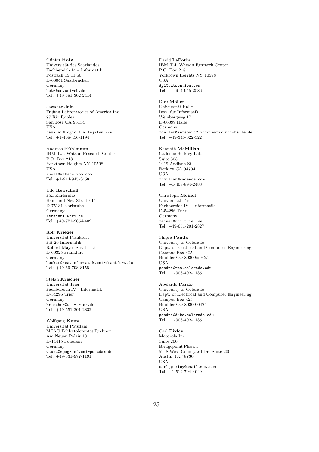Günter Hotz Universität des Saarlandes Fachbereich 14 – Informatik Postfach 15 11 50 D-66041 Saarbrücken Germany hotz@cs.uni-sb.de Tel: +49-681-302-2414

Jawahar Jain Fujitsu Labroratories of America Inc. 77 Rio Robles San Jose CA 95134 USA jawahar@logic.fla.fujitsu.com Tel: +1-408-456-1194

Andreas Kühlmann IBM T.J. Watson Research Center P.O. Box 218 Yorktown Heights NY 10598 USA kuehl@watson.ibm.com Tel: +1-914-945-3458

Udo Kebschull FZI Karlsruhe Haid-und-Neu-Str. 10-14 D-75131 Karlsruhe Germany kebschull@fzi.de Tel: +49-721-9654-402

Rolf Krieger Universit¨at Frankfurt FB 20 Informatik Robert-Mayer-Str. 11-15 D-60325 Frankfurt Germany becker@kea.informatik.uni-frankfurt.de Tel: +49-69-798-8155

Stefan Krischer Universität Trier Fachbereich IV - Informatik D-54296 Trier Germany krischer@uni-trier.de Tel: +49-651-201-2832

Wolfgang Kunz Universität Potsdam MPAG Fehlertolerantes Rechnen Am Neuen Palais 10 D-14415 Potsdam Germany wkunz@mpag-inf.uni-potsdam.de Tel: +49-331-977-1191

David LaPotin IBM T.J. Watson Research Center P.O. Box 218 Yorktown Heights NY 10598 USA dpl@watson.ibm.com Tel: +1-914-945-2586

Dirk Möller Universität Halle Inst. für Informatik Weinbergweg 17 D-06099 Halle Germany moeller@infsparc2.informatik.uni-halle.de Tel: +49-345-622-522

Kenneth McMillan Cadence Berkley Labs Suite 303 1919 Addison St. Berkley CA 94704 USA mcmillan@cadence.com Tel: +1-408-894-2488

Christoph Meinel Universität Trier Fachbereich IV - Informatik D-54296 Trier Germany meinel@uni-trier.de Tel: +49-651-201-2827

Shipra Panda University of Colorado Dept. of Electrical and Computer Engineering Campus Box 425 Boulder CO 80309=0425 USA pandra@rtt.colorado.edu Tel:  $+1-303-492-1135$ 

Abelardo Pardo University of Colorado Dept. of Electrical and Computer Engineering Campus Box 425 Boulder CO 80309-0425 USA pandra@duke.colorado.edu Tel: +1-303-492-1135

Carl Pixley Motorola Inc. Suite 200 Bridgepoint Plaza I 5918 West Countyard Dr. Suite 200 Austin TX 78730 USA carl\_pixley@email.mot.com Tel: +1-512-794-4049